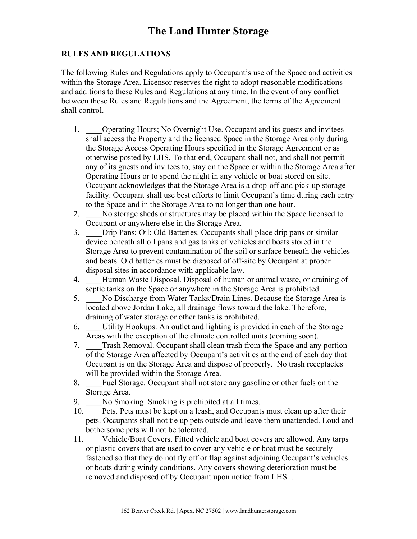## **RULES AND REGULATIONS**

The following Rules and Regulations apply to Occupant's use of the Space and activities within the Storage Area. Licensor reserves the right to adopt reasonable modifications and additions to these Rules and Regulations at any time. In the event of any conflict between these Rules and Regulations and the Agreement, the terms of the Agreement shall control.

- 1. Operating Hours; No Overnight Use. Occupant and its guests and invitees shall access the Property and the licensed Space in the Storage Area only during the Storage Access Operating Hours specified in the Storage Agreement or as otherwise posted by LHS. To that end, Occupant shall not, and shall not permit any of its guests and invitees to, stay on the Space or within the Storage Area after Operating Hours or to spend the night in any vehicle or boat stored on site. Occupant acknowledges that the Storage Area is a drop-off and pick-up storage facility. Occupant shall use best efforts to limit Occupant's time during each entry to the Space and in the Storage Area to no longer than one hour.
- 2. No storage sheds or structures may be placed within the Space licensed to Occupant or anywhere else in the Storage Area.
- 3. \_\_\_\_Drip Pans; Oil; Old Batteries. Occupants shall place drip pans or similar device beneath all oil pans and gas tanks of vehicles and boats stored in the Storage Area to prevent contamination of the soil or surface beneath the vehicles and boats. Old batteries must be disposed of off-site by Occupant at proper disposal sites in accordance with applicable law.
- 4. \_\_\_\_Human Waste Disposal. Disposal of human or animal waste, or draining of septic tanks on the Space or anywhere in the Storage Area is prohibited.
- 5. \_\_\_\_No Discharge from Water Tanks/Drain Lines. Because the Storage Area is located above Jordan Lake, all drainage flows toward the lake. Therefore, draining of water storage or other tanks is prohibited.
- 6. \_\_\_\_Utility Hookups: An outlet and lighting is provided in each of the Storage Areas with the exception of the climate controlled units (coming soon).
- 7. \_\_\_\_Trash Removal. Occupant shall clean trash from the Space and any portion of the Storage Area affected by Occupant's activities at the end of each day that Occupant is on the Storage Area and dispose of properly. No trash receptacles will be provided within the Storage Area.
- 8. \_\_\_\_Fuel Storage. Occupant shall not store any gasoline or other fuels on the Storage Area.
- 9. No Smoking. Smoking is prohibited at all times.
- 10. Pets. Pets must be kept on a leash, and Occupants must clean up after their pets. Occupants shall not tie up pets outside and leave them unattended. Loud and bothersome pets will not be tolerated.
- 11. Vehicle/Boat Covers. Fitted vehicle and boat covers are allowed. Any tarps or plastic covers that are used to cover any vehicle or boat must be securely fastened so that they do not fly off or flap against adjoining Occupant's vehicles or boats during windy conditions. Any covers showing deterioration must be removed and disposed of by Occupant upon notice from LHS. .